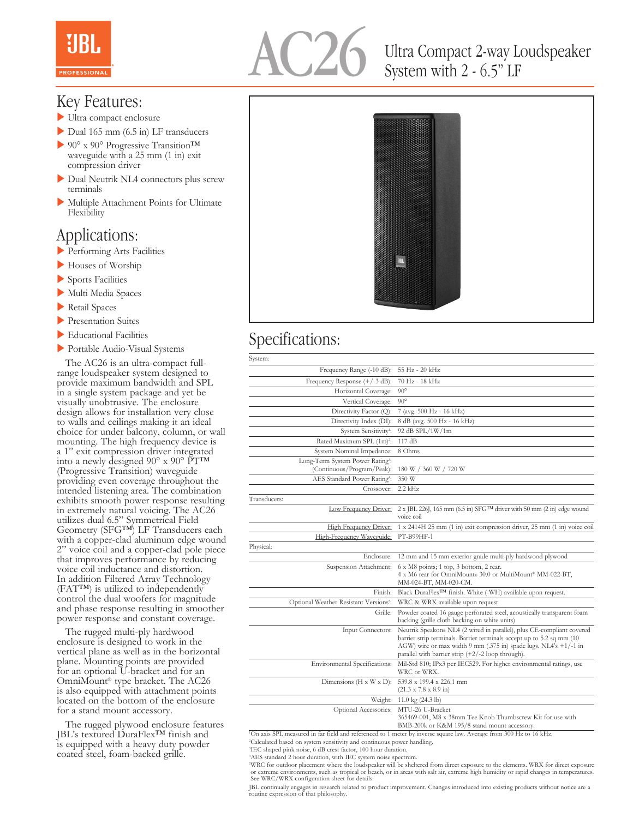

# Ultra Compact 2-way Loudspeaker System with 2 - 6.5" LF

#### Key Features:

- $\blacktriangleright$  Ultra compact enclosure
- $\triangleright$  Dual 165 mm (6.5 in) LF transducers
- > 90° x 90° Progressive Transition<sup>™</sup> waveguide with a 25 mm (1 in) exit compression driver
- Dual Neutrik NL4 connectors plus screw terminals
- $\blacktriangleright$  Multiple Attachment Points for Ultimate Flexibility

### Applications:

- **Performing Arts Facilities**
- Houses of Worship
- $\blacktriangleright$  Sports Facilities
- Multi Media Spaces
- $\blacktriangleright$  Retail Spaces
- **Presentation Suites**
- $\blacktriangleright$  Educational Facilities
- Portable Audio-Visual Systems

 The AC26 is an ultra-compact fullrange loudspeaker system designed to provide maximum bandwidth and SPL in a single system package and yet be visually unobtrusive. The enclosure design allows for installation very close to walls and ceilings making it an ideal choice for under balcony, column, or wall mounting. The high frequency device is a 1" exit compression driver integrated into a newly designed 90° x 90° PT™ (Progressive Transition) waveguide providing even coverage throughout the intended listening area. The combination exhibits smooth power response resulting in extremely natural voicing. The AC26 utilizes dual 6.5" Symmetrical Field Geometry (SFG™) LF Transducers each with a copper-clad aluminum edge wound 2" voice coil and a copper-clad pole piece that improves performance by reducing voice coil inductance and distortion. In addition Filtered Array Technology (FAT™) is utilized to independently control the dual woofers for magnitude and phase response resulting in smoother power response and constant coverage.

 The rugged multi-ply hardwood enclosure is designed to work in the vertical plane as well as in the horizontal plane. Mounting points are provided for an optional U-bracket and for an OmniMount® type bracket. The AC26 is also equipped with attachment points located on the bottom of the enclosure for a stand mount accessory.

 The rugged plywood enclosure features JBL's textured DuraFlex™ finish and is equipped with a heavy duty powder coated steel, foam-backed grille.



## Specifications:

| System:                                                                    |                                                                                                                                                                                                                                                                          |
|----------------------------------------------------------------------------|--------------------------------------------------------------------------------------------------------------------------------------------------------------------------------------------------------------------------------------------------------------------------|
| Frequency Range (-10 dB):                                                  | 55 Hz - 20 kHz                                                                                                                                                                                                                                                           |
| Frequency Response (+/-3 dB):                                              | 70 Hz - 18 kHz                                                                                                                                                                                                                                                           |
| Horizontal Coverage:                                                       | $90^\circ$                                                                                                                                                                                                                                                               |
| Vertical Coverage:                                                         | $90^{\circ}$                                                                                                                                                                                                                                                             |
| Directivity Factor (Q):                                                    | 7 (avg. 500 Hz - 16 kHz)                                                                                                                                                                                                                                                 |
| Directivity Index (DI):                                                    | 8 dB (avg. 500 Hz - 16 kHz)                                                                                                                                                                                                                                              |
| System Sensitivity <sup>1</sup> :                                          | 92 dB SPL/1W/1m                                                                                                                                                                                                                                                          |
| Rated Maximum SPL (1m) <sup>2</sup> :                                      | 117 dB                                                                                                                                                                                                                                                                   |
| System Nominal Impedance:                                                  | 8 Ohms                                                                                                                                                                                                                                                                   |
| Long-Term System Power Rating <sup>3</sup> :<br>(Continuous/Program/Peak): | 180 W / 360 W / 720 W                                                                                                                                                                                                                                                    |
| AES Standard Power Rating <sup>4</sup> :                                   | 350 W                                                                                                                                                                                                                                                                    |
| Crossover:                                                                 | $2.2$ kHz                                                                                                                                                                                                                                                                |
| Transducers:                                                               |                                                                                                                                                                                                                                                                          |
| Low Frequency Driver:                                                      | $2 \times$ JBL 226J, 165 mm (6.5 in) SFG <sup>TM</sup> driver with 50 mm (2 in) edge wound<br>voice coil                                                                                                                                                                 |
| <b>High Frequency Driver:</b>                                              | 1 x 2414H 25 mm (1 in) exit compression driver, 25 mm (1 in) voice coil                                                                                                                                                                                                  |
| High-Frequency Waveguide:                                                  | PT-B99HF-1                                                                                                                                                                                                                                                               |
| Physical:                                                                  |                                                                                                                                                                                                                                                                          |
| Enclosure:                                                                 | 12 mm and 15 mm exterior grade multi-ply hardwood plywood                                                                                                                                                                                                                |
| Suspension Attachment:                                                     | 6 x M8 points; 1 top, 3 bottom, 2 rear.<br>4 x M6 rear for OmniMount® 30.0 or MultiMount® MM-022-BT,<br>MM-024-BT, MM-020-CM.                                                                                                                                            |
| Finish:                                                                    | Black DuraFlex™ finish. White (-WH) available upon request.                                                                                                                                                                                                              |
| Optional Weather Resistant Versions5:                                      | WRC & WRX available upon request                                                                                                                                                                                                                                         |
| Grille:                                                                    | Powder coated 16 gauge perforated steel, acoustically transparent foam<br>backing (grille cloth backing on white units)                                                                                                                                                  |
| <b>Input Connectors:</b>                                                   | Neutrik Speakon® NL4 (2 wired in parallel), plus CE-compliant covered<br>barrier strip terminals. Barrier terminals accept up to 5.2 sq mm (10)<br>AGW) wire or max width 9 mm (.375 in) spade lugs. NL4's +1/-1 in<br>parallel with barrier strip (+2/-2 loop through). |
| Environmental Specifications:                                              | Mil-Std 810; IPx3 per IEC529. For higher environmental ratings, use<br>WRC or WRX.                                                                                                                                                                                       |
| Dimensions ( $H \times W \times D$ ):                                      | 539.8 x 199.4 x 226.1 mm<br>$(21.3 \times 7.8 \times 8.9 \text{ in})$                                                                                                                                                                                                    |
| Weight:                                                                    | 11.0 kg $(24.3 \text{ lb})$                                                                                                                                                                                                                                              |
| Optional Accessories:                                                      | MTU-26 U-Bracket<br>365469-001, M8 x 38mm Tee Knob Thumbscrew Kit for use with<br>BMB-200k or K&M 195/8 stand mount accessory.                                                                                                                                           |

1 On axis SPL measured in far field and referenced to 1 meter by inverse square law. Average from 300 Hz to 16 kHz.

2 Calculated based on system sensitivity and continuous power handling.

4 AES standard 2 hour duration, with IEC system noise spectrum.

<sup>5</sup>WRC for outdoor placement where the loudspeaker will be sheltered from direct exposure to the elements. WRX for direct exposure or extreme environments, such as tropical or beach, or in areas with salt air, extreme high See WRC/WRX configuration sheet for details.

JBL continually engages in research related to product improvement. Changes introduced into existing products without notice are a routine expression of that philosophy.

<sup>3</sup> IEC shaped pink noise, 6 dB crest factor, 100 hour duration.